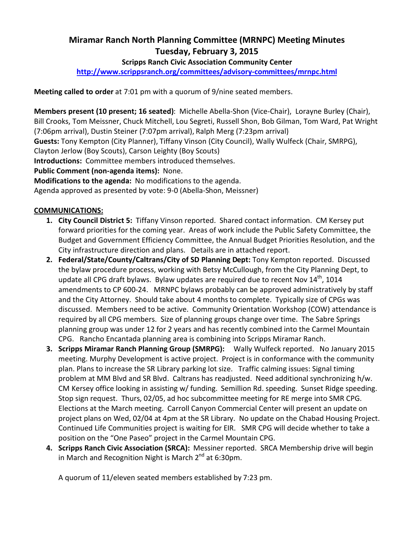# Miramar Ranch North Planning Committee (MRNPC) Meeting Minutes Tuesday, February 3, 2015

## Scripps Ranch Civic Association Community Center

http://www.scrippsranch.org/committees/advisory-committees/mrnpc.html

Meeting called to order at 7:01 pm with a quorum of 9/nine seated members.

Members present (10 present; 16 seated): Michelle Abella-Shon (Vice-Chair), Lorayne Burley (Chair), Bill Crooks, Tom Meissner, Chuck Mitchell, Lou Segreti, Russell Shon, Bob Gilman, Tom Ward, Pat Wright (7:06pm arrival), Dustin Steiner (7:07pm arrival), Ralph Merg (7:23pm arrival)

Guests: Tony Kempton (City Planner), Tiffany Vinson (City Council), Wally Wulfeck (Chair, SMRPG),

Clayton Jerlow (Boy Scouts), Carson Leighty (Boy Scouts)

Introductions: Committee members introduced themselves.

Public Comment (non-agenda items): None.

Modifications to the agenda: No modifications to the agenda.

Agenda approved as presented by vote: 9-0 (Abella-Shon, Meissner)

### COMMUNICATIONS:

- 1. City Council District 5: Tiffany Vinson reported. Shared contact information. CM Kersey put forward priorities for the coming year. Areas of work include the Public Safety Committee, the Budget and Government Efficiency Committee, the Annual Budget Priorities Resolution, and the City infrastructure direction and plans. Details are in attached report.
- 2. Federal/State/County/Caltrans/City of SD Planning Dept: Tony Kempton reported. Discussed the bylaw procedure process, working with Betsy McCullough, from the City Planning Dept, to update all CPG draft bylaws. Bylaw updates are required due to recent Nov  $14<sup>th</sup>$ , 1014 amendments to CP 600-24. MRNPC bylaws probably can be approved administratively by staff and the City Attorney. Should take about 4 months to complete. Typically size of CPGs was discussed. Members need to be active. Community Orientation Workshop (COW) attendance is required by all CPG members. Size of planning groups change over time. The Sabre Springs planning group was under 12 for 2 years and has recently combined into the Carmel Mountain CPG. Rancho Encantada planning area is combining into Scripps Miramar Ranch.
- 3. Scripps Miramar Ranch Planning Group (SMRPG): Wally Wulfeck reported. No January 2015 meeting. Murphy Development is active project. Project is in conformance with the community plan. Plans to increase the SR Library parking lot size. Traffic calming issues: Signal timing problem at MM Blvd and SR Blvd. Caltrans has readjusted. Need additional synchronizing h/w. CM Kersey office looking in assisting w/ funding. Semillion Rd. speeding. Sunset Ridge speeding. Stop sign request. Thurs, 02/05, ad hoc subcommittee meeting for RE merge into SMR CPG. Elections at the March meeting. Carroll Canyon Commercial Center will present an update on project plans on Wed, 02/04 at 4pm at the SR Library. No update on the Chabad Housing Project. Continued Life Communities project is waiting for EIR. SMR CPG will decide whether to take a position on the "One Paseo" project in the Carmel Mountain CPG.
- 4. Scripps Ranch Civic Association (SRCA): Messiner reported. SRCA Membership drive will begin in March and Recognition Night is March  $2^{nd}$  at 6:30pm.

A quorum of 11/eleven seated members established by 7:23 pm.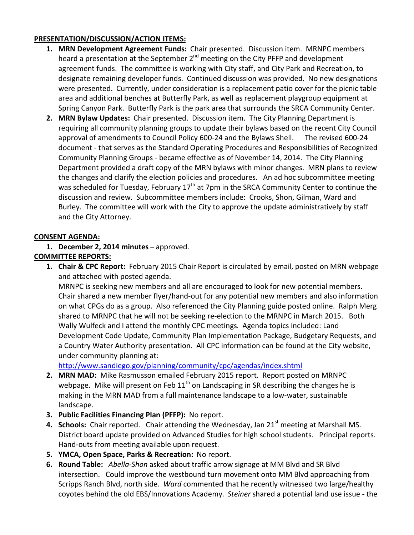## PRESENTATION/DISCUSSION/ACTION ITEMS:

- 1. MRN Development Agreement Funds: Chair presented. Discussion item. MRNPC members heard a presentation at the September  $2^{nd}$  meeting on the City PFFP and development agreement funds. The committee is working with City staff, and City Park and Recreation, to designate remaining developer funds. Continued discussion was provided. No new designations were presented. Currently, under consideration is a replacement patio cover for the picnic table area and additional benches at Butterfly Park, as well as replacement playgroup equipment at Spring Canyon Park. Butterfly Park is the park area that surrounds the SRCA Community Center.
- 2. MRN Bylaw Updates: Chair presented. Discussion item. The City Planning Department is requiring all community planning groups to update their bylaws based on the recent City Council approval of amendments to Council Policy 600-24 and the Bylaws Shell. The revised 600-24 document - that serves as the Standard Operating Procedures and Responsibilities of Recognized Community Planning Groups - became effective as of November 14, 2014. The City Planning Department provided a draft copy of the MRN bylaws with minor changes. MRN plans to review the changes and clarify the election policies and procedures. An ad hoc subcommittee meeting was scheduled for Tuesday, February  $17<sup>th</sup>$  at 7pm in the SRCA Community Center to continue the discussion and review. Subcommittee members include: Crooks, Shon, Gilman, Ward and Burley. The committee will work with the City to approve the update administratively by staff and the City Attorney.

### CONSENT AGENDA:

# 1. December 2, 2014 minutes – approved.

# COMMITTEE REPORTS:

**1. Chair & CPC Report:** February 2015 Chair Report is circulated by email, posted on MRN webpage and attached with posted agenda.

MRNPC is seeking new members and all are encouraged to look for new potential members. Chair shared a new member flyer/hand-out for any potential new members and also information on what CPGs do as a group. Also referenced the City Planning guide posted online. Ralph Merg shared to MRNPC that he will not be seeking re-election to the MRNPC in March 2015. Both Wally Wulfeck and I attend the monthly CPC meetings. Agenda topics included: Land Development Code Update, Community Plan Implementation Package, Budgetary Requests, and a Country Water Authority presentation. All CPC information can be found at the City website, under community planning at:

http://www.sandiego.gov/planning/community/cpc/agendas/index.shtml

- 2. MRN MAD: Mike Rasmusson emailed February 2015 report. Report posted on MRNPC webpage. Mike will present on Feb  $11<sup>th</sup>$  on Landscaping in SR describing the changes he is making in the MRN MAD from a full maintenance landscape to a low-water, sustainable landscape.
- 3. Public Facilities Financing Plan (PFFP): No report.
- 4. Schools: Chair reported. Chair attending the Wednesday, Jan  $21<sup>st</sup>$  meeting at Marshall MS. District board update provided on Advanced Studies for high school students. Principal reports. Hand-outs from meeting available upon request.
- 5. YMCA, Open Space, Parks & Recreation: No report.
- 6. Round Table: Abella-Shon asked about traffic arrow signage at MM Blvd and SR Blvd intersection. Could improve the westbound turn movement onto MM Blvd approaching from Scripps Ranch Blvd, north side. Ward commented that he recently witnessed two large/healthy coyotes behind the old EBS/Innovations Academy. Steiner shared a potential land use issue - the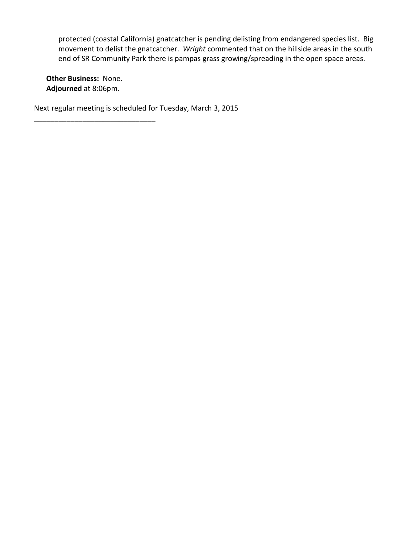protected (coastal California) gnatcatcher is pending delisting from endangered species list. Big movement to delist the gnatcatcher. Wright commented that on the hillside areas in the south end of SR Community Park there is pampas grass growing/spreading in the open space areas.

Other Business: None. Adjourned at 8:06pm.

\_\_\_\_\_\_\_\_\_\_\_\_\_\_\_\_\_\_\_\_\_\_\_\_\_\_\_\_\_\_

Next regular meeting is scheduled for Tuesday, March 3, 2015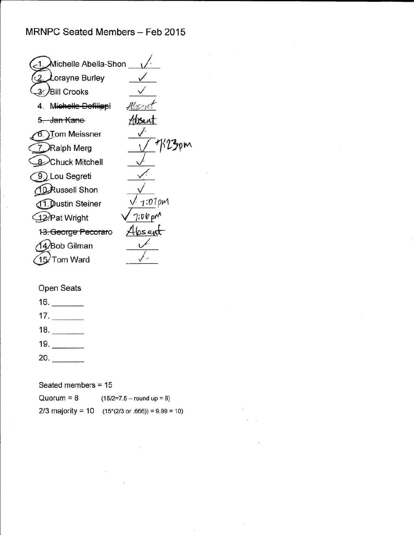$\omega$   $=$   $\omega$   $=$   $\approx$ 

| Michelle Abella-Shon             |               |
|----------------------------------|---------------|
| Lorayne Burley                   |               |
| <b>/Bill Crooks</b>              |               |
| Michelle-Defilippi               | Alisi         |
| 5. Jan Kane                      |               |
| Tom Meissner                     |               |
| Ralph Merg                       | K23om         |
| Chuck Mitchell                   |               |
| 9.) Lou Segreti                  |               |
| <b>Russell Shon</b>              |               |
| <b>Dustin Steiner</b>            | $1.01 \rho m$ |
| 12 Pat Wright                    | $7.06$ pm     |
| 1 <del>3. George Pecorar</del> o |               |
| <b>Bob Gilman</b>                |               |
| <b>Tom Ward</b>                  |               |
|                                  |               |

# Open Seats

浴

- $16.$
- $17.$
- $18.$
- $19.$
- $20.$

## Seated members = 15

| Quorum = 8        | $(15/2=7.5 -$ round up = 8)                |
|-------------------|--------------------------------------------|
| 2/3 majority = 10 | $(15*(2/3 \text{ or } .666)) = 9.99 = 10)$ |

 $66^\circ$ 

 $\langle \mathcal{O} \rangle$ 

ă.